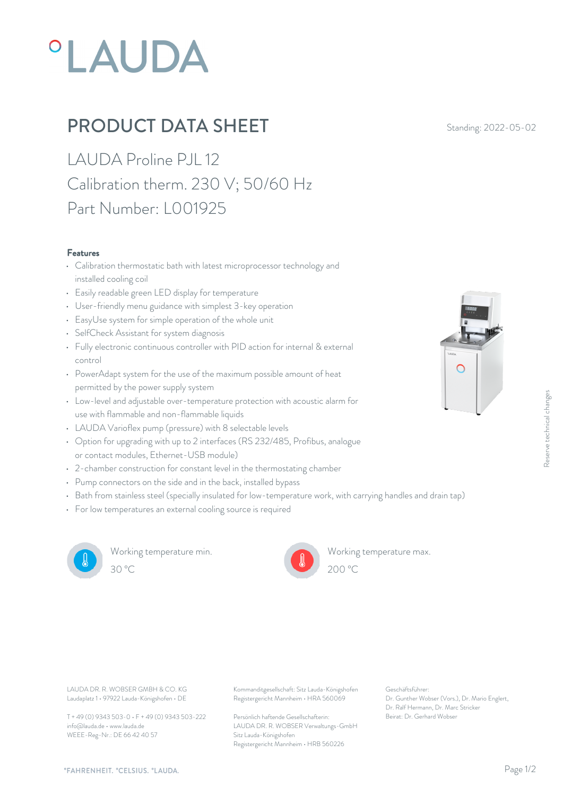# **°LAUDA**

## **PRODUCT DATA SHEET** Standing: 2022-05-02

LAUDA Proline PJL 12 Calibration therm. 230 V; 50/60 Hz Part Number: L001925

#### Features

- Calibration thermostatic bath with latest microprocessor technology and installed cooling coil
- Easily readable green LED display for temperature
- User-friendly menu guidance with simplest 3-key operation
- EasyUse system for simple operation of the whole unit
- SelfCheck Assistant for system diagnosis
- Fully electronic continuous controller with PID action for internal & external control
- PowerAdapt system for the use of the maximum possible amount of heat permitted by the power supply system
- Low-level and adjustable over-temperature protection with acoustic alarm for use with flammable and non-flammable liquids
- LAUDA Varioflex pump (pressure) with 8 selectable levels
- Option for upgrading with up to 2 interfaces (RS 232/485, Profibus, analogue or contact modules, Ethernet-USB module)
- 2-chamber construction for constant level in the thermostating chamber
- Pump connectors on the side and in the back, installed bypass
- Bath from stainless steel (specially insulated for low-temperature work, with carrying handles and drain tap)
- For low temperatures an external cooling source is required



Working temperature min. 30 °C 200 °C



Working temperature max.



 $\bigcirc$ 

Laudaplatz 1 • 97922 Lauda-Königshofen • DE

T + 49 (0) 9343 503-0 • F + 49 (0) 9343 503-222 info@lauda.de • www.lauda.de WEEE-Reg-Nr.: DE 66 42 40 57

LAUDA DR. R. WOBSER GMBH & CO. KG Kommanditgesellschaft: Sitz Lauda-Königshofen Geschäftsführer: Registergericht Mannheim • HRA 560069

> Persönlich haftende Gesellschafterin: Beirat: Dr. Gerhard Wobse LAUDA DR. R. WOBSER Verwaltungs-GmbH Sitz Lauda-Königshofen Registergericht Mannheim • HRB 560226

Geschäftsführer: Dr. Gunther Wobser (Vors.), Dr. Mario Englert, Dr. Ralf Hermann, Dr. Marc Stricker Beschäftsführer:<br>Beischäftsführer:<br>Beischäftsführer:<br>Dr. Gunther Wobser (Vors.), Dr. Mario Englert,<br>Dr. Raff Hermann, Dr. Marc Stricker<br>Beirat: Dr. Gerhard Wobser